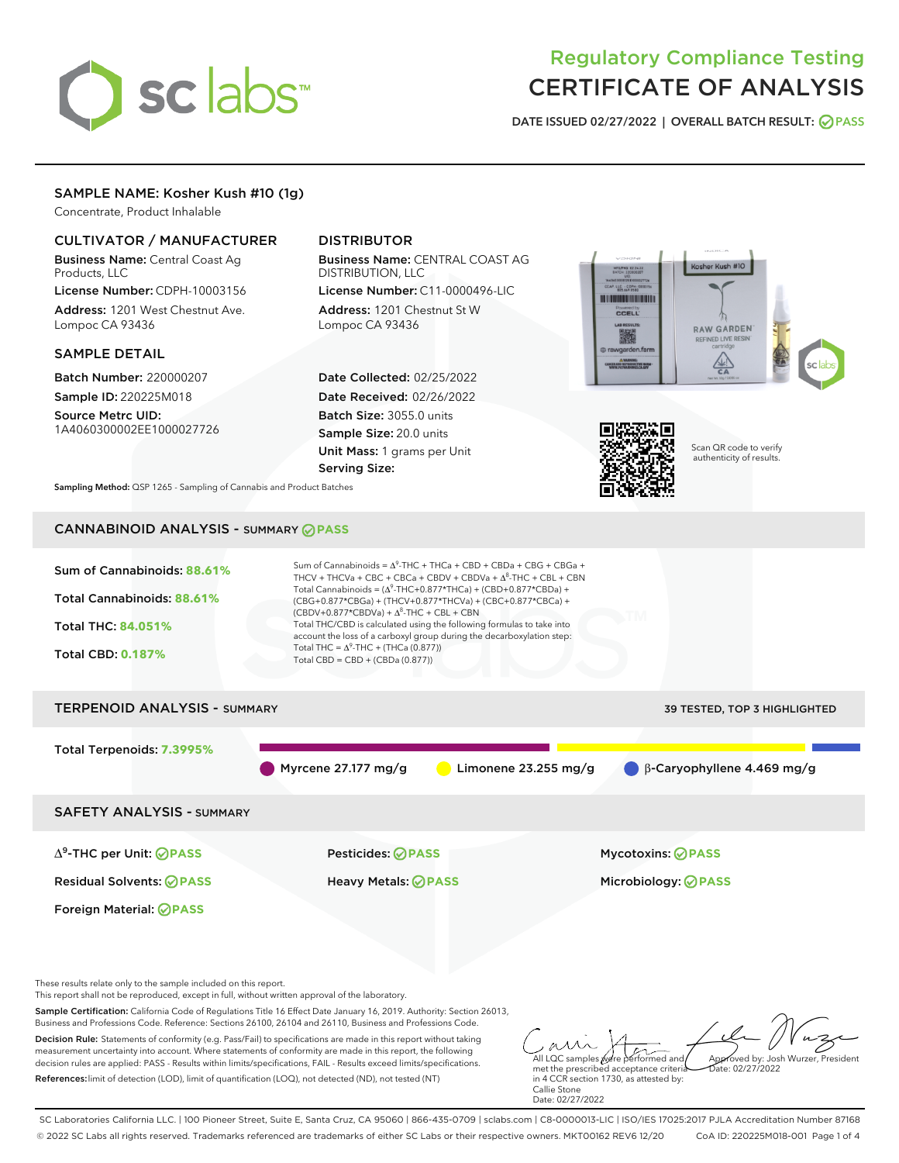# sclabs

# Regulatory Compliance Testing CERTIFICATE OF ANALYSIS

DATE ISSUED 02/27/2022 | OVERALL BATCH RESULT: @ PASS

# SAMPLE NAME: Kosher Kush #10 (1g)

Concentrate, Product Inhalable

# CULTIVATOR / MANUFACTURER

Business Name: Central Coast Ag Products, LLC

License Number: CDPH-10003156 Address: 1201 West Chestnut Ave. Lompoc CA 93436

#### SAMPLE DETAIL

Batch Number: 220000207 Sample ID: 220225M018

Source Metrc UID: 1A4060300002EE1000027726

# DISTRIBUTOR

Business Name: CENTRAL COAST AG DISTRIBUTION, LLC License Number: C11-0000496-LIC

Address: 1201 Chestnut St W Lompoc CA 93436

Date Collected: 02/25/2022 Date Received: 02/26/2022 Batch Size: 3055.0 units Sample Size: 20.0 units Unit Mass: 1 grams per Unit Serving Size:





Scan QR code to verify authenticity of results.

Sampling Method: QSP 1265 - Sampling of Cannabis and Product Batches

# CANNABINOID ANALYSIS - SUMMARY **PASS**



measurement uncertainty into account. Where statements of conformity are made in this report, the following decision rules are applied: PASS - Results within limits/specifications, FAIL - Results exceed limits/specifications.

References:limit of detection (LOD), limit of quantification (LOQ), not detected (ND), not tested (NT)

All LQC samples were performed and met the prescribed acceptance criteria in 4 CCR section 1730, as attested by: Callie Stone Date: 02/27/2022 Approved by: Josh Wurzer, President  $ate: 02/27/2022$ 

SC Laboratories California LLC. | 100 Pioneer Street, Suite E, Santa Cruz, CA 95060 | 866-435-0709 | sclabs.com | C8-0000013-LIC | ISO/IES 17025:2017 PJLA Accreditation Number 87168 © 2022 SC Labs all rights reserved. Trademarks referenced are trademarks of either SC Labs or their respective owners. MKT00162 REV6 12/20 CoA ID: 220225M018-001 Page 1 of 4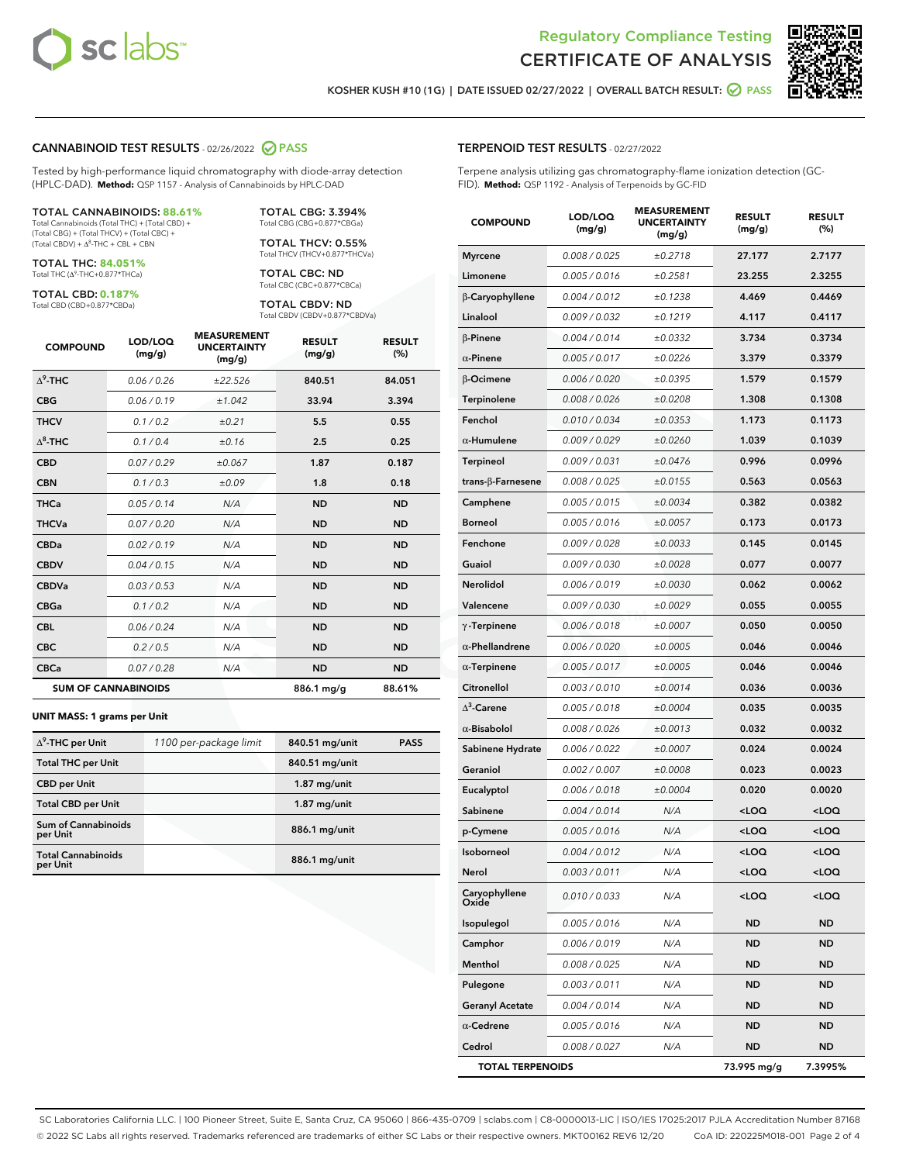



KOSHER KUSH #10 (1G) | DATE ISSUED 02/27/2022 | OVERALL BATCH RESULT: @ PASS

#### CANNABINOID TEST RESULTS - 02/26/2022 2 PASS

Tested by high-performance liquid chromatography with diode-array detection (HPLC-DAD). **Method:** QSP 1157 - Analysis of Cannabinoids by HPLC-DAD

#### TOTAL CANNABINOIDS: **88.61%**

Total Cannabinoids (Total THC) + (Total CBD) + (Total CBG) + (Total THCV) + (Total CBC) +  $(Total CBDV) +  $\Delta^8$ -THC + CBL + CBN$ 

TOTAL THC: **84.051%** Total THC (Δ<sup>9</sup>-THC+0.877\*THCa)

TOTAL CBD: **0.187%**

Total CBD (CBD+0.877\*CBDa)

TOTAL CBG: 3.394% Total CBG (CBG+0.877\*CBGa)

TOTAL THCV: 0.55% Total THCV (THCV+0.877\*THCVa)

TOTAL CBC: ND Total CBC (CBC+0.877\*CBCa)

TOTAL CBDV: ND Total CBDV (CBDV+0.877\*CBDVa)

| <b>COMPOUND</b>            | LOD/LOQ<br>(mg/g) | <b>MEASUREMENT</b><br><b>UNCERTAINTY</b><br>(mg/g) | <b>RESULT</b><br>(mg/g) | <b>RESULT</b><br>(%) |
|----------------------------|-------------------|----------------------------------------------------|-------------------------|----------------------|
| $\Lambda^9$ -THC           | 0.06/0.26         | ±22.526                                            | 840.51                  | 84.051               |
| <b>CBG</b>                 | 0.06 / 0.19       | ±1.042                                             | 33.94                   | 3.394                |
| <b>THCV</b>                | 0.1/0.2           | ±0.21                                              | 5.5                     | 0.55                 |
| $\Lambda^8$ -THC           | 0.1/0.4           | ±0.16                                              | 2.5                     | 0.25                 |
| <b>CBD</b>                 | 0.07/0.29         | ±0.067                                             | 1.87                    | 0.187                |
| <b>CBN</b>                 | 0.1/0.3           | ±0.09                                              | 1.8                     | 0.18                 |
| <b>THCa</b>                | 0.05/0.14         | N/A                                                | <b>ND</b>               | <b>ND</b>            |
| <b>THCVa</b>               | 0.07 / 0.20       | N/A                                                | <b>ND</b>               | <b>ND</b>            |
| <b>CBDa</b>                | 0.02/0.19         | N/A                                                | <b>ND</b>               | <b>ND</b>            |
| <b>CBDV</b>                | 0.04 / 0.15       | N/A                                                | <b>ND</b>               | <b>ND</b>            |
| <b>CBDVa</b>               | 0.03/0.53         | N/A                                                | <b>ND</b>               | <b>ND</b>            |
| <b>CBGa</b>                | 0.1 / 0.2         | N/A                                                | <b>ND</b>               | <b>ND</b>            |
| <b>CBL</b>                 | 0.06 / 0.24       | N/A                                                | <b>ND</b>               | <b>ND</b>            |
| <b>CBC</b>                 | 0.2 / 0.5         | N/A                                                | <b>ND</b>               | <b>ND</b>            |
| <b>CBCa</b>                | 0.07/0.28         | N/A                                                | <b>ND</b>               | <b>ND</b>            |
| <b>SUM OF CANNABINOIDS</b> |                   |                                                    | 886.1 mg/g              | 88.61%               |

#### **UNIT MASS: 1 grams per Unit**

| $\Delta^9$ -THC per Unit              | 1100 per-package limit | 840.51 mg/unit | <b>PASS</b> |
|---------------------------------------|------------------------|----------------|-------------|
| <b>Total THC per Unit</b>             |                        | 840.51 mg/unit |             |
| <b>CBD per Unit</b>                   |                        | $1.87$ mg/unit |             |
| <b>Total CBD per Unit</b>             |                        | $1.87$ mg/unit |             |
| Sum of Cannabinoids<br>per Unit       |                        | 886.1 mg/unit  |             |
| <b>Total Cannabinoids</b><br>per Unit |                        | 886.1 mg/unit  |             |

| <b>COMPOUND</b>        | LOD/LOQ<br>(mg/g) | <b>MEASUREMENT</b><br><b>UNCERTAINTY</b><br>(mg/g) | <b>RESULT</b><br>(mg/g)                         | <b>RESULT</b><br>(%) |
|------------------------|-------------------|----------------------------------------------------|-------------------------------------------------|----------------------|
| <b>Myrcene</b>         | 0.008 / 0.025     | ±0.2718                                            | 27.177                                          | 2.7177               |
| Limonene               | 0.005 / 0.016     | ±0.2581                                            | 23.255                                          | 2.3255               |
| β-Caryophyllene        | 0.004 / 0.012     | ±0.1238                                            | 4.469                                           | 0.4469               |
| Linalool               | 0.009 / 0.032     | ±0.1219                                            | 4.117                                           | 0.4117               |
| <b>β-Pinene</b>        | 0.004 / 0.014     | ±0.0332                                            | 3.734                                           | 0.3734               |
| $\alpha$ -Pinene       | 0.005 / 0.017     | ±0.0226                                            | 3.379                                           | 0.3379               |
| β-Ocimene              | 0.006 / 0.020     | ±0.0395                                            | 1.579                                           | 0.1579               |
| <b>Terpinolene</b>     | 0.008 / 0.026     | ±0.0208                                            | 1.308                                           | 0.1308               |
| Fenchol                | 0.010 / 0.034     | ±0.0353                                            | 1.173                                           | 0.1173               |
| $\alpha$ -Humulene     | 0.009 / 0.029     | ±0.0260                                            | 1.039                                           | 0.1039               |
| Terpineol              | 0.009 / 0.031     | ±0.0476                                            | 0.996                                           | 0.0996               |
| trans-β-Farnesene      | 0.008 / 0.025     | ±0.0155                                            | 0.563                                           | 0.0563               |
| Camphene               | 0.005 / 0.015     | ±0.0034                                            | 0.382                                           | 0.0382               |
| <b>Borneol</b>         | 0.005/0.016       | ±0.0057                                            | 0.173                                           | 0.0173               |
| Fenchone               | 0.009 / 0.028     | ±0.0033                                            | 0.145                                           | 0.0145               |
| Guaiol                 | 0.009 / 0.030     | ±0.0028                                            | 0.077                                           | 0.0077               |
| <b>Nerolidol</b>       | 0.006 / 0.019     | ±0.0030                                            | 0.062                                           | 0.0062               |
| Valencene              | 0.009 / 0.030     | ±0.0029                                            | 0.055                                           | 0.0055               |
| $\gamma$ -Terpinene    | 0.006 / 0.018     | ±0.0007                                            | 0.050                                           | 0.0050               |
| $\alpha$ -Phellandrene | 0.006 / 0.020     | ±0.0005                                            | 0.046                                           | 0.0046               |
| $\alpha$ -Terpinene    | 0.005 / 0.017     | ±0.0005                                            | 0.046                                           | 0.0046               |
| Citronellol            | 0.003 / 0.010     | ±0.0014                                            | 0.036                                           | 0.0036               |
| $\Delta^3$ -Carene     | 0.005 / 0.018     | ±0.0004                                            | 0.035                                           | 0.0035               |
| $\alpha$ -Bisabolol    | 0.008 / 0.026     | ±0.0013                                            | 0.032                                           | 0.0032               |
| Sabinene Hydrate       | 0.006 / 0.022     | ±0.0007                                            | 0.024                                           | 0.0024               |
| Geraniol               | 0.002 / 0.007     | ±0.0008                                            | 0.023                                           | 0.0023               |
| Eucalyptol             | 0.006 / 0.018     | ±0.0004                                            | 0.020                                           | 0.0020               |
| Sabinene               | 0.004 / 0.014     | N/A                                                | <loq< td=""><td><loq< td=""></loq<></td></loq<> | <loq< td=""></loq<>  |
| p-Cymene               | 0.005 / 0.016     | N/A                                                | <loq< td=""><td><loq< td=""></loq<></td></loq<> | <loq< td=""></loq<>  |
| Isoborneol             | 0.004 / 0.012     | N/A                                                | <loq< td=""><td><loq< td=""></loq<></td></loq<> | <loq< td=""></loq<>  |
| Nerol                  | 0.003 / 0.011     | N/A                                                | <loq< td=""><td><loq< td=""></loq<></td></loq<> | <loq< td=""></loq<>  |
| Caryophyllene<br>Oxide | 0.010 / 0.033     | N/A                                                | <loq< td=""><td><loq< td=""></loq<></td></loq<> | <loq< td=""></loq<>  |
| Isopulegol             | 0.005 / 0.016     | N/A                                                | ND                                              | ND                   |
| Camphor                | 0.006 / 0.019     | N/A                                                | <b>ND</b>                                       | <b>ND</b>            |
| Menthol                | 0.008 / 0.025     | N/A                                                | ND                                              | ND                   |
| Pulegone               | 0.003 / 0.011     | N/A                                                | ND                                              | ND                   |
| <b>Geranyl Acetate</b> | 0.004 / 0.014     | N/A                                                | <b>ND</b>                                       | ND                   |
| $\alpha$ -Cedrene      | 0.005 / 0.016     | N/A                                                | ND                                              | ND                   |
| Cedrol                 | 0.008 / 0.027     | N/A                                                | ND                                              | ND                   |

TOTAL TERPENOIDS 73.995 mg/g 7.3995%

SC Laboratories California LLC. | 100 Pioneer Street, Suite E, Santa Cruz, CA 95060 | 866-435-0709 | sclabs.com | C8-0000013-LIC | ISO/IES 17025:2017 PJLA Accreditation Number 87168 © 2022 SC Labs all rights reserved. Trademarks referenced are trademarks of either SC Labs or their respective owners. MKT00162 REV6 12/20 CoA ID: 220225M018-001 Page 2 of 4

# TERPENOID TEST RESULTS - 02/27/2022

Terpene analysis utilizing gas chromatography-flame ionization detection (GC-FID). **Method:** QSP 1192 - Analysis of Terpenoids by GC-FID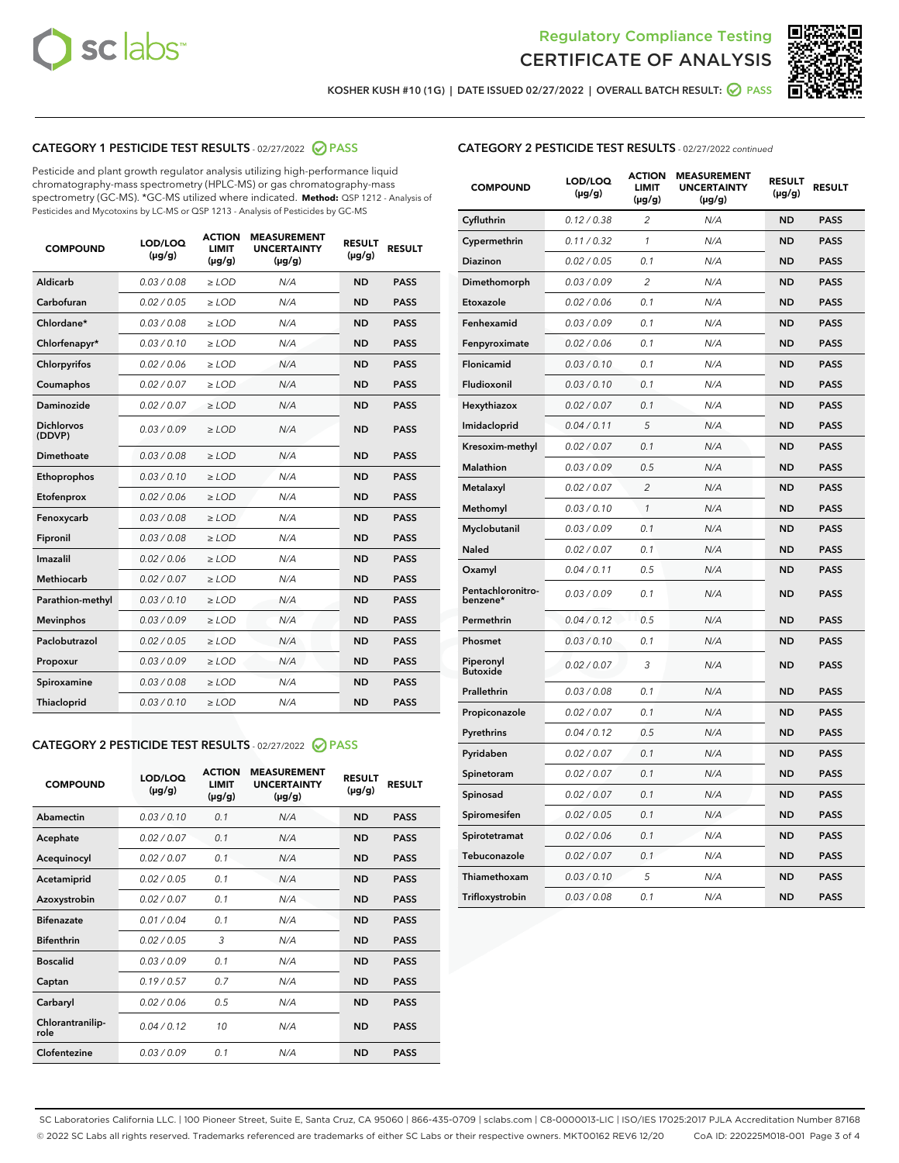



KOSHER KUSH #10 (1G) | DATE ISSUED 02/27/2022 | OVERALL BATCH RESULT: @ PASS

# CATEGORY 1 PESTICIDE TEST RESULTS - 02/27/2022 2 PASS

Pesticide and plant growth regulator analysis utilizing high-performance liquid chromatography-mass spectrometry (HPLC-MS) or gas chromatography-mass spectrometry (GC-MS). \*GC-MS utilized where indicated. **Method:** QSP 1212 - Analysis of Pesticides and Mycotoxins by LC-MS or QSP 1213 - Analysis of Pesticides by GC-MS

| <b>COMPOUND</b>             | <b>LOD/LOQ</b><br>$(\mu g/g)$ | <b>ACTION</b><br><b>LIMIT</b><br>$(\mu g/g)$ | <b>MEASUREMENT</b><br><b>UNCERTAINTY</b><br>$(\mu g/g)$ | <b>RESULT</b><br>$(\mu g/g)$ | <b>RESULT</b> |
|-----------------------------|-------------------------------|----------------------------------------------|---------------------------------------------------------|------------------------------|---------------|
| <b>Aldicarb</b>             | 0.03 / 0.08                   | $\geq$ LOD                                   | N/A                                                     | <b>ND</b>                    | <b>PASS</b>   |
| Carbofuran                  | 0.02 / 0.05                   | $>$ LOD                                      | N/A                                                     | <b>ND</b>                    | <b>PASS</b>   |
| Chlordane*                  | 0.03 / 0.08                   | $\ge$ LOD                                    | N/A                                                     | <b>ND</b>                    | <b>PASS</b>   |
| Chlorfenapyr*               | 0.03/0.10                     | $\ge$ LOD                                    | N/A                                                     | <b>ND</b>                    | <b>PASS</b>   |
| Chlorpyrifos                | 0.02 / 0.06                   | $>$ LOD                                      | N/A                                                     | <b>ND</b>                    | <b>PASS</b>   |
| Coumaphos                   | 0.02 / 0.07                   | $\ge$ LOD                                    | N/A                                                     | <b>ND</b>                    | <b>PASS</b>   |
| <b>Daminozide</b>           | 0.02 / 0.07                   | $\ge$ LOD                                    | N/A                                                     | <b>ND</b>                    | <b>PASS</b>   |
| <b>Dichlorvos</b><br>(DDVP) | 0.03/0.09                     | $\ge$ LOD                                    | N/A                                                     | <b>ND</b>                    | <b>PASS</b>   |
| <b>Dimethoate</b>           | 0.03 / 0.08                   | $\ge$ LOD                                    | N/A                                                     | <b>ND</b>                    | <b>PASS</b>   |
| Ethoprophos                 | 0.03/0.10                     | $\ge$ LOD                                    | N/A                                                     | <b>ND</b>                    | <b>PASS</b>   |
| Etofenprox                  | 0.02 / 0.06                   | $\ge$ LOD                                    | N/A                                                     | <b>ND</b>                    | <b>PASS</b>   |
| Fenoxycarb                  | 0.03/0.08                     | $>$ LOD                                      | N/A                                                     | <b>ND</b>                    | <b>PASS</b>   |
| Fipronil                    | 0.03 / 0.08                   | $\ge$ LOD                                    | N/A                                                     | <b>ND</b>                    | <b>PASS</b>   |
| Imazalil                    | 0.02/0.06                     | $>$ LOD                                      | N/A                                                     | <b>ND</b>                    | <b>PASS</b>   |
| Methiocarb                  | 0.02 / 0.07                   | $\ge$ LOD                                    | N/A                                                     | <b>ND</b>                    | <b>PASS</b>   |
| Parathion-methyl            | 0.03/0.10                     | $>$ LOD                                      | N/A                                                     | <b>ND</b>                    | <b>PASS</b>   |
| <b>Mevinphos</b>            | 0.03/0.09                     | $\ge$ LOD                                    | N/A                                                     | <b>ND</b>                    | <b>PASS</b>   |
| Paclobutrazol               | 0.02 / 0.05                   | $>$ LOD                                      | N/A                                                     | <b>ND</b>                    | <b>PASS</b>   |
| Propoxur                    | 0.03/0.09                     | $\ge$ LOD                                    | N/A                                                     | <b>ND</b>                    | <b>PASS</b>   |
| Spiroxamine                 | 0.03 / 0.08                   | $\ge$ LOD                                    | N/A                                                     | <b>ND</b>                    | <b>PASS</b>   |
| <b>Thiacloprid</b>          | 0.03/0.10                     | $\ge$ LOD                                    | N/A                                                     | <b>ND</b>                    | <b>PASS</b>   |

# CATEGORY 2 PESTICIDE TEST RESULTS - 02/27/2022 2 PASS

| <b>COMPOUND</b>          | LOD/LOO<br>$(\mu g/g)$ | <b>ACTION</b><br><b>LIMIT</b><br>$(\mu g/g)$ | <b>MEASUREMENT</b><br><b>UNCERTAINTY</b><br>$(\mu g/g)$ | <b>RESULT</b><br>$(\mu g/g)$ | <b>RESULT</b> |
|--------------------------|------------------------|----------------------------------------------|---------------------------------------------------------|------------------------------|---------------|
| Abamectin                | 0.03/0.10              | 0.1                                          | N/A                                                     | <b>ND</b>                    | <b>PASS</b>   |
| Acephate                 | 0.02/0.07              | 0.1                                          | N/A                                                     | <b>ND</b>                    | <b>PASS</b>   |
| Acequinocyl              | 0.02/0.07              | 0.1                                          | N/A                                                     | <b>ND</b>                    | <b>PASS</b>   |
| Acetamiprid              | 0.02/0.05              | 0.1                                          | N/A                                                     | <b>ND</b>                    | <b>PASS</b>   |
| Azoxystrobin             | 0.02/0.07              | 0.1                                          | N/A                                                     | <b>ND</b>                    | <b>PASS</b>   |
| <b>Bifenazate</b>        | 0.01/0.04              | 0.1                                          | N/A                                                     | <b>ND</b>                    | <b>PASS</b>   |
| <b>Bifenthrin</b>        | 0.02/0.05              | 3                                            | N/A                                                     | <b>ND</b>                    | <b>PASS</b>   |
| <b>Boscalid</b>          | 0.03/0.09              | 0.1                                          | N/A                                                     | <b>ND</b>                    | <b>PASS</b>   |
| Captan                   | 0.19/0.57              | 0.7                                          | N/A                                                     | <b>ND</b>                    | <b>PASS</b>   |
| Carbaryl                 | 0.02/0.06              | 0.5                                          | N/A                                                     | <b>ND</b>                    | <b>PASS</b>   |
| Chlorantranilip-<br>role | 0.04/0.12              | 10                                           | N/A                                                     | <b>ND</b>                    | <b>PASS</b>   |
| Clofentezine             | 0.03/0.09              | 0.1                                          | N/A                                                     | <b>ND</b>                    | <b>PASS</b>   |

#### CATEGORY 2 PESTICIDE TEST RESULTS - 02/27/2022 continued

| <b>COMPOUND</b>               | LOD/LOQ<br>(µg/g) | <b>ACTION</b><br><b>LIMIT</b><br>$(\mu g/g)$ | <b>MEASUREMENT</b><br><b>UNCERTAINTY</b><br>$(\mu g/g)$ | <b>RESULT</b><br>(µg/g) | <b>RESULT</b> |
|-------------------------------|-------------------|----------------------------------------------|---------------------------------------------------------|-------------------------|---------------|
| Cyfluthrin                    | 0.12 / 0.38       | $\overline{c}$                               | N/A                                                     | ND                      | <b>PASS</b>   |
| Cypermethrin                  | 0.11 / 0.32       | 1                                            | N/A                                                     | <b>ND</b>               | PASS          |
| <b>Diazinon</b>               | 0.02 / 0.05       | 0.1                                          | N/A                                                     | <b>ND</b>               | <b>PASS</b>   |
| Dimethomorph                  | 0.03 / 0.09       | 2                                            | N/A                                                     | <b>ND</b>               | <b>PASS</b>   |
| Etoxazole                     | 0.02 / 0.06       | 0.1                                          | N/A                                                     | <b>ND</b>               | PASS          |
| Fenhexamid                    | 0.03 / 0.09       | 0.1                                          | N/A                                                     | <b>ND</b>               | <b>PASS</b>   |
| Fenpyroximate                 | 0.02 / 0.06       | 0.1                                          | N/A                                                     | <b>ND</b>               | <b>PASS</b>   |
| Flonicamid                    | 0.03 / 0.10       | 0.1                                          | N/A                                                     | <b>ND</b>               | <b>PASS</b>   |
| Fludioxonil                   | 0.03 / 0.10       | 0.1                                          | N/A                                                     | <b>ND</b>               | PASS          |
| Hexythiazox                   | 0.02 / 0.07       | 0.1                                          | N/A                                                     | <b>ND</b>               | <b>PASS</b>   |
| Imidacloprid                  | 0.04 / 0.11       | 5                                            | N/A                                                     | ND                      | <b>PASS</b>   |
| Kresoxim-methyl               | 0.02 / 0.07       | 0.1                                          | N/A                                                     | <b>ND</b>               | <b>PASS</b>   |
| <b>Malathion</b>              | 0.03 / 0.09       | 0.5                                          | N/A                                                     | <b>ND</b>               | <b>PASS</b>   |
| Metalaxyl                     | 0.02 / 0.07       | $\overline{c}$                               | N/A                                                     | <b>ND</b>               | PASS          |
| Methomyl                      | 0.03 / 0.10       | $\mathbf{1}$                                 | N/A                                                     | <b>ND</b>               | <b>PASS</b>   |
| Myclobutanil                  | 0.03/0.09         | 0.1                                          | N/A                                                     | <b>ND</b>               | <b>PASS</b>   |
| Naled                         | 0.02 / 0.07       | 0.1                                          | N/A                                                     | <b>ND</b>               | <b>PASS</b>   |
| Oxamyl                        | 0.04 / 0.11       | 0.5                                          | N/A                                                     | ND                      | PASS          |
| Pentachloronitro-<br>benzene* | 0.03 / 0.09       | 0.1                                          | N/A                                                     | <b>ND</b>               | <b>PASS</b>   |
| Permethrin                    | 0.04 / 0.12       | 0.5                                          | N/A                                                     | <b>ND</b>               | <b>PASS</b>   |
| Phosmet                       | 0.03 / 0.10       | 0.1                                          | N/A                                                     | <b>ND</b>               | <b>PASS</b>   |
| Piperonyl<br><b>Butoxide</b>  | 0.02 / 0.07       | 3                                            | N/A                                                     | <b>ND</b>               | <b>PASS</b>   |
| Prallethrin                   | 0.03 / 0.08       | 0.1                                          | N/A                                                     | <b>ND</b>               | <b>PASS</b>   |
| Propiconazole                 | 0.02 / 0.07       | 0.1                                          | N/A                                                     | <b>ND</b>               | <b>PASS</b>   |
| Pyrethrins                    | 0.04 / 0.12       | 0.5                                          | N/A                                                     | <b>ND</b>               | <b>PASS</b>   |
| Pyridaben                     | 0.02 / 0.07       | 0.1                                          | N/A                                                     | <b>ND</b>               | <b>PASS</b>   |
| Spinetoram                    | 0.02 / 0.07       | 0.1                                          | N/A                                                     | <b>ND</b>               | <b>PASS</b>   |
| Spinosad                      | 0.02 / 0.07       | 0.1                                          | N/A                                                     | <b>ND</b>               | PASS          |
| Spiromesifen                  | 0.02 / 0.05       | 0.1                                          | N/A                                                     | <b>ND</b>               | <b>PASS</b>   |
| Spirotetramat                 | 0.02 / 0.06       | 0.1                                          | N/A                                                     | <b>ND</b>               | <b>PASS</b>   |
| Tebuconazole                  | 0.02 / 0.07       | 0.1                                          | N/A                                                     | <b>ND</b>               | <b>PASS</b>   |
| Thiamethoxam                  | 0.03 / 0.10       | 5                                            | N/A                                                     | ND                      | <b>PASS</b>   |
| Trifloxystrobin               | 0.03 / 0.08       | 0.1                                          | N/A                                                     | <b>ND</b>               | <b>PASS</b>   |

SC Laboratories California LLC. | 100 Pioneer Street, Suite E, Santa Cruz, CA 95060 | 866-435-0709 | sclabs.com | C8-0000013-LIC | ISO/IES 17025:2017 PJLA Accreditation Number 87168 © 2022 SC Labs all rights reserved. Trademarks referenced are trademarks of either SC Labs or their respective owners. MKT00162 REV6 12/20 CoA ID: 220225M018-001 Page 3 of 4